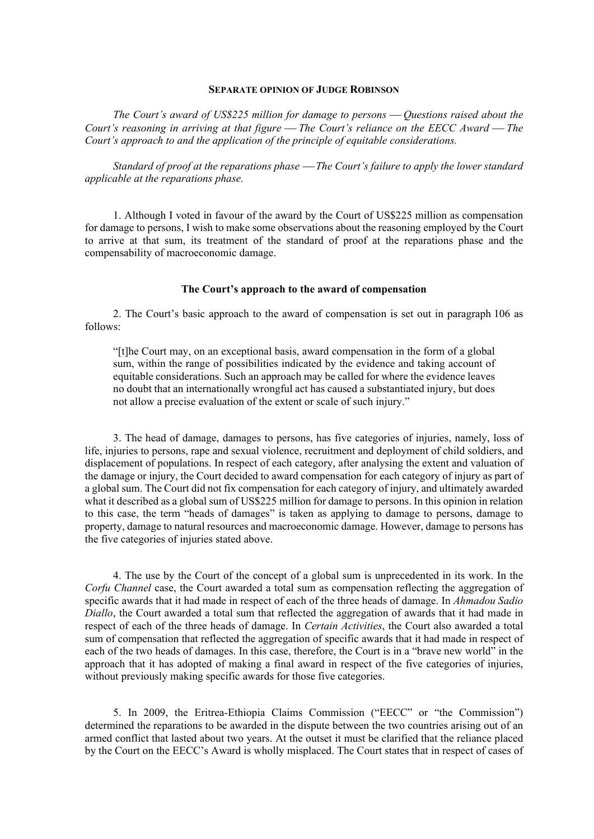#### **SEPARATE OPINION OF JUDGE ROBINSON**

*The Court's award of US\$225 million for damage to persons Questions raised about the Court's reasoning in arriving at that figure The Court's reliance on the EECC Award The Court's approach to and the application of the principle of equitable considerations.*

*Standard of proof at the reparations phase The Court's failure to apply the lower standard applicable at the reparations phase.*

1. Although I voted in favour of the award by the Court of US\$225 million as compensation for damage to persons, I wish to make some observations about the reasoning employed by the Court to arrive at that sum, its treatment of the standard of proof at the reparations phase and the compensability of macroeconomic damage.

# **The Court's approach to the award of compensation**

2. The Court's basic approach to the award of compensation is set out in paragraph 106 as follows:

"[t]he Court may, on an exceptional basis, award compensation in the form of a global sum, within the range of possibilities indicated by the evidence and taking account of equitable considerations. Such an approach may be called for where the evidence leaves no doubt that an internationally wrongful act has caused a substantiated injury, but does not allow a precise evaluation of the extent or scale of such injury."

3. The head of damage, damages to persons, has five categories of injuries, namely, loss of life, injuries to persons, rape and sexual violence, recruitment and deployment of child soldiers, and displacement of populations. In respect of each category, after analysing the extent and valuation of the damage or injury, the Court decided to award compensation for each category of injury as part of a global sum. The Court did not fix compensation for each category of injury, and ultimately awarded what it described as a global sum of US\$225 million for damage to persons. In this opinion in relation to this case, the term "heads of damages" is taken as applying to damage to persons, damage to property, damage to natural resources and macroeconomic damage. However, damage to persons has the five categories of injuries stated above.

4. The use by the Court of the concept of a global sum is unprecedented in its work. In the *Corfu Channel* case, the Court awarded a total sum as compensation reflecting the aggregation of specific awards that it had made in respect of each of the three heads of damage. In *Ahmadou Sadio Diallo*, the Court awarded a total sum that reflected the aggregation of awards that it had made in respect of each of the three heads of damage. In *Certain Activities*, the Court also awarded a total sum of compensation that reflected the aggregation of specific awards that it had made in respect of each of the two heads of damages. In this case, therefore, the Court is in a "brave new world" in the approach that it has adopted of making a final award in respect of the five categories of injuries, without previously making specific awards for those five categories.

5. In 2009, the Eritrea-Ethiopia Claims Commission ("EECC" or "the Commission") determined the reparations to be awarded in the dispute between the two countries arising out of an armed conflict that lasted about two years. At the outset it must be clarified that the reliance placed by the Court on the EECC's Award is wholly misplaced. The Court states that in respect of cases of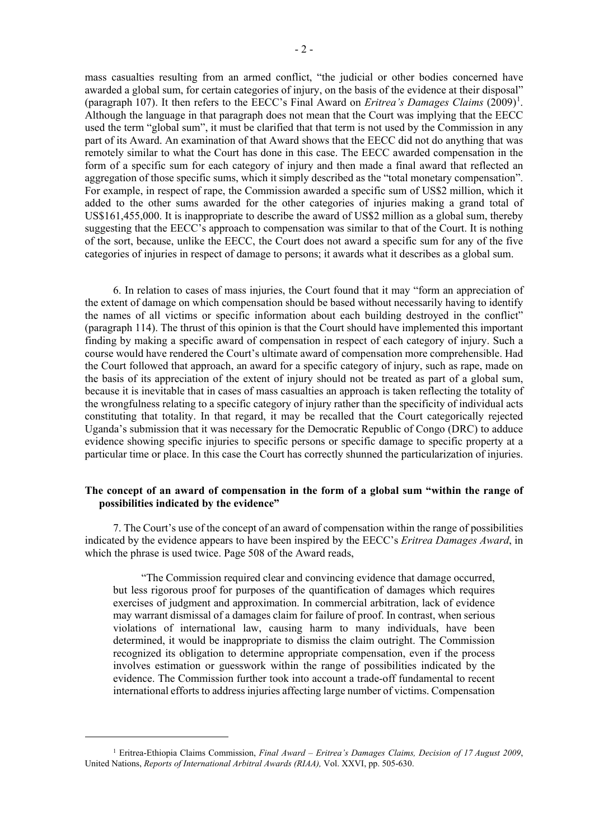mass casualties resulting from an armed conflict, "the judicial or other bodies concerned have awarded a global sum, for certain categories of injury, on the basis of the evidence at their disposal" (paragraph [1](#page-1-0)07). It then refers to the EECC's Final Award on *Eritrea's Damages Claims* (2009)<sup>1</sup>. Although the language in that paragraph does not mean that the Court was implying that the EECC used the term "global sum", it must be clarified that that term is not used by the Commission in any part of its Award. An examination of that Award shows that the EECC did not do anything that was remotely similar to what the Court has done in this case. The EECC awarded compensation in the form of a specific sum for each category of injury and then made a final award that reflected an aggregation of those specific sums, which it simply described as the "total monetary compensation". For example, in respect of rape, the Commission awarded a specific sum of US\$2 million, which it added to the other sums awarded for the other categories of injuries making a grand total of US\$161,455,000. It is inappropriate to describe the award of US\$2 million as a global sum, thereby suggesting that the EECC's approach to compensation was similar to that of the Court. It is nothing of the sort, because, unlike the EECC, the Court does not award a specific sum for any of the five categories of injuries in respect of damage to persons; it awards what it describes as a global sum.

6. In relation to cases of mass injuries, the Court found that it may "form an appreciation of the extent of damage on which compensation should be based without necessarily having to identify the names of all victims or specific information about each building destroyed in the conflict" (paragraph 114). The thrust of this opinion is that the Court should have implemented this important finding by making a specific award of compensation in respect of each category of injury. Such a course would have rendered the Court's ultimate award of compensation more comprehensible. Had the Court followed that approach, an award for a specific category of injury, such as rape, made on the basis of its appreciation of the extent of injury should not be treated as part of a global sum, because it is inevitable that in cases of mass casualties an approach is taken reflecting the totality of the wrongfulness relating to a specific category of injury rather than the specificity of individual acts constituting that totality. In that regard, it may be recalled that the Court categorically rejected Uganda's submission that it was necessary for the Democratic Republic of Congo (DRC) to adduce evidence showing specific injuries to specific persons or specific damage to specific property at a particular time or place. In this case the Court has correctly shunned the particularization of injuries.

# **The concept of an award of compensation in the form of a global sum "within the range of possibilities indicated by the evidence"**

7. The Court's use of the concept of an award of compensation within the range of possibilities indicated by the evidence appears to have been inspired by the EECC's *Eritrea Damages Award*, in which the phrase is used twice. Page 508 of the Award reads,

"The Commission required clear and convincing evidence that damage occurred, but less rigorous proof for purposes of the quantification of damages which requires exercises of judgment and approximation. In commercial arbitration, lack of evidence may warrant dismissal of a damages claim for failure of proof. In contrast, when serious violations of international law, causing harm to many individuals, have been determined, it would be inappropriate to dismiss the claim outright. The Commission recognized its obligation to determine appropriate compensation, even if the process involves estimation or guesswork within the range of possibilities indicated by the evidence. The Commission further took into account a trade-off fundamental to recent international efforts to address injuries affecting large number of victims. Compensation

<span id="page-1-0"></span><sup>1</sup> Eritrea-Ethiopia Claims Commission, *Final Award* – *Eritrea's Damages Claims, Decision of 17 August 2009*, United Nations, *Reports of International Arbitral Awards (RIAA),* Vol. XXVI, pp. 505-630.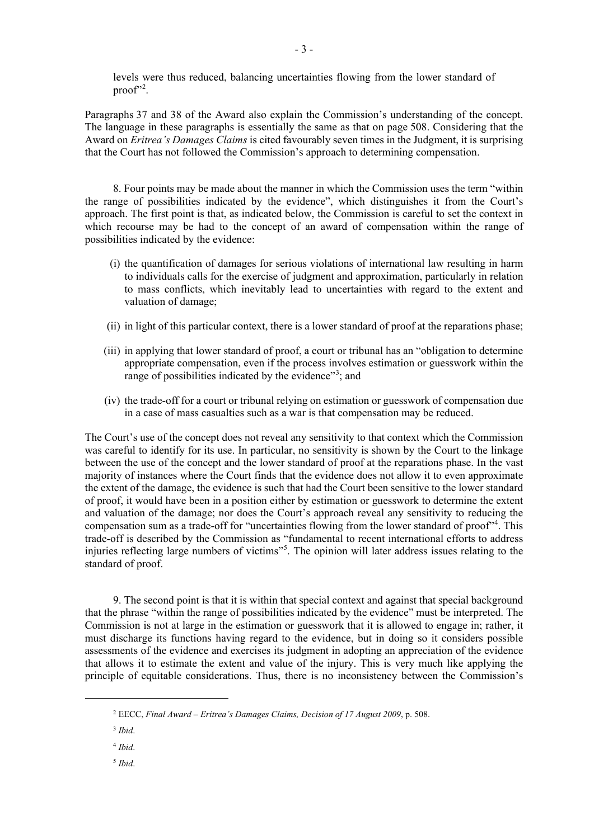levels were thus reduced, balancing uncertainties flowing from the lower standard of proof"<sup>[2](#page-2-0)</sup>.

Paragraphs 37 and 38 of the Award also explain the Commission's understanding of the concept. The language in these paragraphs is essentially the same as that on page 508. Considering that the Award on *Eritrea's Damages Claims* is cited favourably seven times in the Judgment, it is surprising that the Court has not followed the Commission's approach to determining compensation.

8. Four points may be made about the manner in which the Commission uses the term "within the range of possibilities indicated by the evidence", which distinguishes it from the Court's approach. The first point is that, as indicated below, the Commission is careful to set the context in which recourse may be had to the concept of an award of compensation within the range of possibilities indicated by the evidence:

- (i) the quantification of damages for serious violations of international law resulting in harm to individuals calls for the exercise of judgment and approximation, particularly in relation to mass conflicts, which inevitably lead to uncertainties with regard to the extent and valuation of damage;
- (ii) in light of this particular context, there is a lower standard of proof at the reparations phase;
- (iii) in applying that lower standard of proof, a court or tribunal has an "obligation to determine appropriate compensation, even if the process involves estimation or guesswork within the range of possibilities indicated by the evidence"<sup>[3](#page-2-1)</sup>; and
- (iv) the trade-off for a court or tribunal relying on estimation or guesswork of compensation due in a case of mass casualties such as a war is that compensation may be reduced.

The Court's use of the concept does not reveal any sensitivity to that context which the Commission was careful to identify for its use. In particular, no sensitivity is shown by the Court to the linkage between the use of the concept and the lower standard of proof at the reparations phase. In the vast majority of instances where the Court finds that the evidence does not allow it to even approximate the extent of the damage, the evidence is such that had the Court been sensitive to the lower standard of proof, it would have been in a position either by estimation or guesswork to determine the extent and valuation of the damage; nor does the Court's approach reveal any sensitivity to reducing the compensation sum as a trade-off for "uncertainties flowing from the lower standard of proof"<sup>[4](#page-2-2)</sup>. This trade-off is described by the Commission as "fundamental to recent international efforts to address injuries reflecting large numbers of victims"<sup>[5](#page-2-3)</sup>. The opinion will later address issues relating to the standard of proof.

9. The second point is that it is within that special context and against that special background that the phrase "within the range of possibilities indicated by the evidence" must be interpreted. The Commission is not at large in the estimation or guesswork that it is allowed to engage in; rather, it must discharge its functions having regard to the evidence, but in doing so it considers possible assessments of the evidence and exercises its judgment in adopting an appreciation of the evidence that allows it to estimate the extent and value of the injury. This is very much like applying the principle of equitable considerations. Thus, there is no inconsistency between the Commission's

<span id="page-2-3"></span><sup>5</sup> *Ibid*.

<span id="page-2-1"></span><span id="page-2-0"></span><sup>2</sup> EECC, *Final Award – Eritrea's Damages Claims, Decision of 17 August 2009*, p. 508.

<sup>3</sup> *Ibid*.

<span id="page-2-2"></span><sup>4</sup> *Ibid*.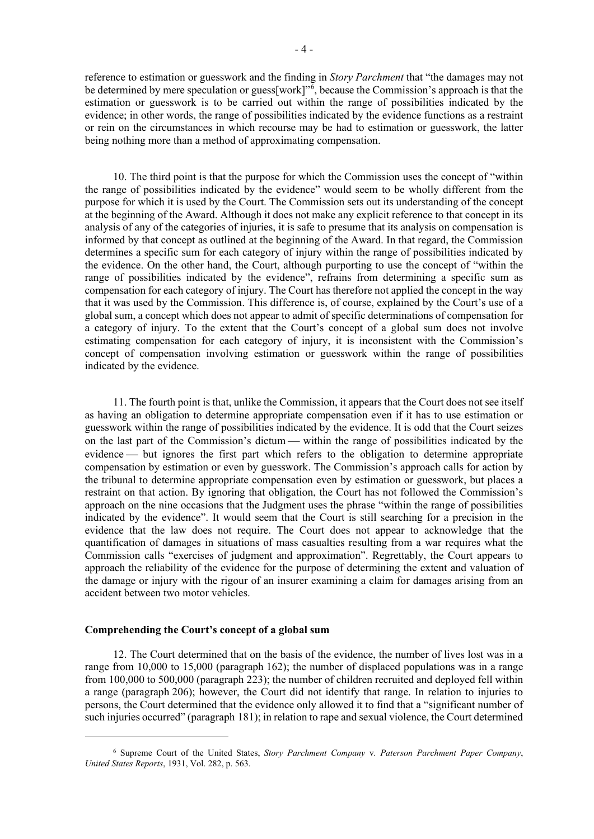reference to estimation or guesswork and the finding in *Story Parchment* that "the damages may not be determined by mere speculation or guess[work]"<sup>[6](#page-3-0)</sup>, because the Commission's approach is that the estimation or guesswork is to be carried out within the range of possibilities indicated by the evidence; in other words, the range of possibilities indicated by the evidence functions as a restraint or rein on the circumstances in which recourse may be had to estimation or guesswork, the latter being nothing more than a method of approximating compensation.

10. The third point is that the purpose for which the Commission uses the concept of "within the range of possibilities indicated by the evidence" would seem to be wholly different from the purpose for which it is used by the Court. The Commission sets out its understanding of the concept at the beginning of the Award. Although it does not make any explicit reference to that concept in its analysis of any of the categories of injuries, it is safe to presume that its analysis on compensation is informed by that concept as outlined at the beginning of the Award. In that regard, the Commission determines a specific sum for each category of injury within the range of possibilities indicated by the evidence. On the other hand, the Court, although purporting to use the concept of "within the range of possibilities indicated by the evidence", refrains from determining a specific sum as compensation for each category of injury. The Court has therefore not applied the concept in the way that it was used by the Commission. This difference is, of course, explained by the Court's use of a global sum, a concept which does not appear to admit of specific determinations of compensation for a category of injury. To the extent that the Court's concept of a global sum does not involve estimating compensation for each category of injury, it is inconsistent with the Commission's concept of compensation involving estimation or guesswork within the range of possibilities indicated by the evidence.

11. The fourth point is that, unlike the Commission, it appears that the Court does not see itself as having an obligation to determine appropriate compensation even if it has to use estimation or guesswork within the range of possibilities indicated by the evidence. It is odd that the Court seizes on the last part of the Commission's dictum — within the range of possibilities indicated by the evidence — but ignores the first part which refers to the obligation to determine appropriate compensation by estimation or even by guesswork. The Commission's approach calls for action by the tribunal to determine appropriate compensation even by estimation or guesswork, but places a restraint on that action. By ignoring that obligation, the Court has not followed the Commission's approach on the nine occasions that the Judgment uses the phrase "within the range of possibilities indicated by the evidence". It would seem that the Court is still searching for a precision in the evidence that the law does not require. The Court does not appear to acknowledge that the quantification of damages in situations of mass casualties resulting from a war requires what the Commission calls "exercises of judgment and approximation". Regrettably, the Court appears to approach the reliability of the evidence for the purpose of determining the extent and valuation of the damage or injury with the rigour of an insurer examining a claim for damages arising from an accident between two motor vehicles.

## **Comprehending the Court's concept of a global sum**

12. The Court determined that on the basis of the evidence, the number of lives lost was in a range from 10,000 to 15,000 (paragraph 162); the number of displaced populations was in a range from 100,000 to 500,000 (paragraph 223); the number of children recruited and deployed fell within a range (paragraph 206); however, the Court did not identify that range. In relation to injuries to persons, the Court determined that the evidence only allowed it to find that a "significant number of such injuries occurred" (paragraph 181); in relation to rape and sexual violence, the Court determined

<span id="page-3-0"></span><sup>6</sup> Supreme Court of the United States, *Story Parchment Company* v*. Paterson Parchment Paper Company*, *United States Reports*, 1931, Vol. 282, p. 563.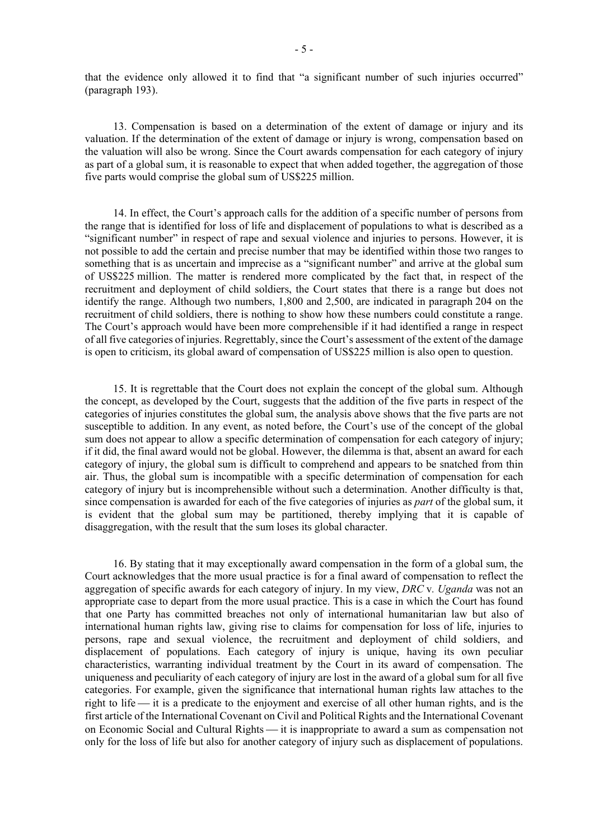that the evidence only allowed it to find that "a significant number of such injuries occurred" (paragraph 193).

13. Compensation is based on a determination of the extent of damage or injury and its valuation. If the determination of the extent of damage or injury is wrong, compensation based on the valuation will also be wrong. Since the Court awards compensation for each category of injury as part of a global sum, it is reasonable to expect that when added together, the aggregation of those five parts would comprise the global sum of US\$225 million.

14. In effect, the Court's approach calls for the addition of a specific number of persons from the range that is identified for loss of life and displacement of populations to what is described as a "significant number" in respect of rape and sexual violence and injuries to persons. However, it is not possible to add the certain and precise number that may be identified within those two ranges to something that is as uncertain and imprecise as a "significant number" and arrive at the global sum of US\$225 million. The matter is rendered more complicated by the fact that, in respect of the recruitment and deployment of child soldiers, the Court states that there is a range but does not identify the range. Although two numbers, 1,800 and 2,500, are indicated in paragraph 204 on the recruitment of child soldiers, there is nothing to show how these numbers could constitute a range. The Court's approach would have been more comprehensible if it had identified a range in respect of all five categories of injuries. Regrettably, since the Court's assessment of the extent of the damage is open to criticism, its global award of compensation of US\$225 million is also open to question.

15. It is regrettable that the Court does not explain the concept of the global sum. Although the concept, as developed by the Court, suggests that the addition of the five parts in respect of the categories of injuries constitutes the global sum, the analysis above shows that the five parts are not susceptible to addition. In any event, as noted before, the Court's use of the concept of the global sum does not appear to allow a specific determination of compensation for each category of injury; if it did, the final award would not be global. However, the dilemma is that, absent an award for each category of injury, the global sum is difficult to comprehend and appears to be snatched from thin air. Thus, the global sum is incompatible with a specific determination of compensation for each category of injury but is incomprehensible without such a determination. Another difficulty is that, since compensation is awarded for each of the five categories of injuries as *part* of the global sum, it is evident that the global sum may be partitioned, thereby implying that it is capable of disaggregation, with the result that the sum loses its global character.

16. By stating that it may exceptionally award compensation in the form of a global sum, the Court acknowledges that the more usual practice is for a final award of compensation to reflect the aggregation of specific awards for each category of injury. In my view, *DRC* v*. Uganda* was not an appropriate case to depart from the more usual practice. This is a case in which the Court has found that one Party has committed breaches not only of international humanitarian law but also of international human rights law, giving rise to claims for compensation for loss of life, injuries to persons, rape and sexual violence, the recruitment and deployment of child soldiers, and displacement of populations. Each category of injury is unique, having its own peculiar characteristics, warranting individual treatment by the Court in its award of compensation. The uniqueness and peculiarity of each category of injury are lost in the award of a global sum for all five categories. For example, given the significance that international human rights law attaches to the right to life — it is a predicate to the enjoyment and exercise of all other human rights, and is the first article of the International Covenant on Civil and Political Rights and the International Covenant on Economic Social and Cultural Rights — it is inappropriate to award a sum as compensation not only for the loss of life but also for another category of injury such as displacement of populations.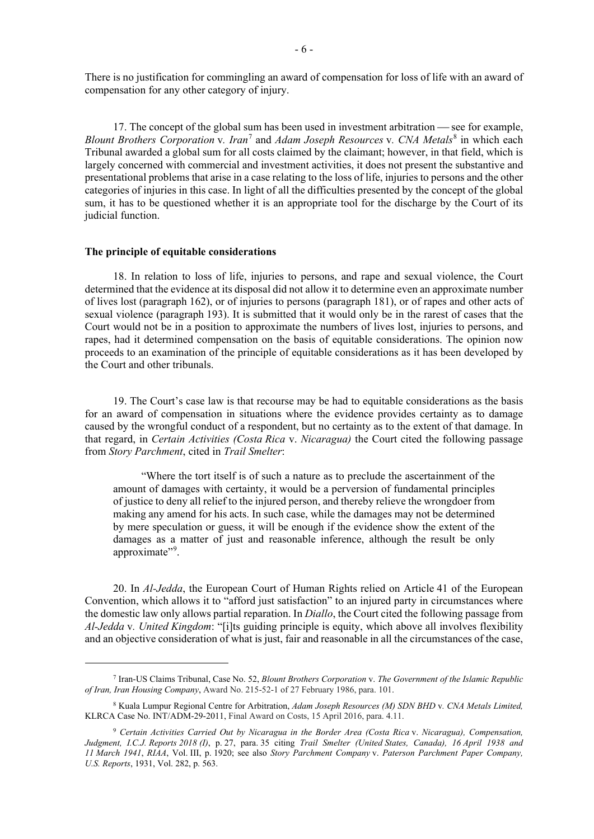There is no justification for commingling an award of compensation for loss of life with an award of compensation for any other category of injury.

17. The concept of the global sum has been used in investment arbitration  $\frac{1}{\sqrt{2}}$  see for example, *Blount Brothers Corporation* v*. Iran*[7](#page-5-0) and *Adam Joseph Resources* v*. CNA Metals*[8](#page-5-1) in which each Tribunal awarded a global sum for all costs claimed by the claimant; however, in that field, which is largely concerned with commercial and investment activities, it does not present the substantive and presentational problems that arise in a case relating to the loss of life, injuries to persons and the other categories of injuries in this case. In light of all the difficulties presented by the concept of the global sum, it has to be questioned whether it is an appropriate tool for the discharge by the Court of its judicial function.

#### **The principle of equitable considerations**

18. In relation to loss of life, injuries to persons, and rape and sexual violence, the Court determined that the evidence at its disposal did not allow it to determine even an approximate number of lives lost (paragraph 162), or of injuries to persons (paragraph 181), or of rapes and other acts of sexual violence (paragraph 193). It is submitted that it would only be in the rarest of cases that the Court would not be in a position to approximate the numbers of lives lost, injuries to persons, and rapes, had it determined compensation on the basis of equitable considerations. The opinion now proceeds to an examination of the principle of equitable considerations as it has been developed by the Court and other tribunals.

19. The Court's case law is that recourse may be had to equitable considerations as the basis for an award of compensation in situations where the evidence provides certainty as to damage caused by the wrongful conduct of a respondent, but no certainty as to the extent of that damage. In that regard, in *Certain Activities (Costa Rica* v. *Nicaragua)* the Court cited the following passage from *Story Parchment*, cited in *Trail Smelter*:

"Where the tort itself is of such a nature as to preclude the ascertainment of the amount of damages with certainty, it would be a perversion of fundamental principles of justice to deny all relief to the injured person, and thereby relieve the wrongdoer from making any amend for his acts. In such case, while the damages may not be determined by mere speculation or guess, it will be enough if the evidence show the extent of the damages as a matter of just and reasonable inference, although the result be only approximate".

20. In *Al-Jedda*, the European Court of Human Rights relied on Article 41 of the European Convention, which allows it to "afford just satisfaction" to an injured party in circumstances where the domestic law only allows partial reparation. In *Diallo*, the Court cited the following passage from *Al-Jedda* v*. United Kingdom*: "[i]ts guiding principle is equity, which above all involves flexibility and an objective consideration of what is just, fair and reasonable in all the circumstances of the case,

<span id="page-5-0"></span><sup>7</sup> Iran-US Claims Tribunal, Case No. 52, *Blount Brothers Corporation* v. *The Government of the Islamic Republic of Iran, Iran Housing Company*, Award No. 215-52-1 of 27 February 1986, para. 101.

<span id="page-5-1"></span><sup>8</sup> Kuala Lumpur Regional Centre for Arbitration, *Adam Joseph Resources (M) SDN BHD* v*. CNA Metals Limited,* KLRCA Case No. INT/ADM-29-2011, Final Award on Costs, 15 April 2016, para. 4.11.

<span id="page-5-2"></span><sup>9</sup> *Certain Activities Carried Out by Nicaragua in the Border Area (Costa Rica* v. *Nicaragua), Compensation, Judgment, I.C.J. Reports 2018 (I)*, p. 27, para. 35 citing *Trail Smelter (United States, Canada), 16 April 1938 and 11 March 1941*, *RIAA*, Vol. III, p. 1920; see also *Story Parchment Company* v. *Paterson Parchment Paper Company, U.S. Reports*, 1931, Vol. 282, p. 563.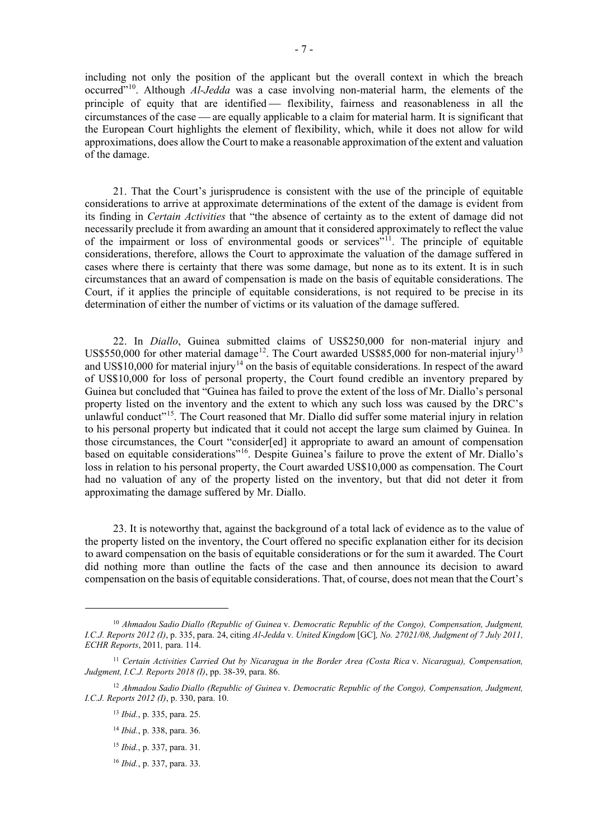including not only the position of the applicant but the overall context in which the breach occurred"<sup>[10](#page-6-0)</sup>. Although *Al-Jedda* was a case involving non-material harm, the elements of the principle of equity that are identified - flexibility, fairness and reasonableness in all the circumstances of the case — are equally applicable to a claim for material harm. It is significant that the European Court highlights the element of flexibility, which, while it does not allow for wild approximations, does allow the Court to make a reasonable approximation of the extent and valuation of the damage.

21. That the Court's jurisprudence is consistent with the use of the principle of equitable considerations to arrive at approximate determinations of the extent of the damage is evident from its finding in *Certain Activities* that "the absence of certainty as to the extent of damage did not necessarily preclude it from awarding an amount that it considered approximately to reflect the value of the impairment or loss of environmental goods or services<sup> $\frac{1}{2}$ 1</sup>. The principle of equitable considerations, therefore, allows the Court to approximate the valuation of the damage suffered in cases where there is certainty that there was some damage, but none as to its extent. It is in such circumstances that an award of compensation is made on the basis of equitable considerations. The Court, if it applies the principle of equitable considerations, is not required to be precise in its determination of either the number of victims or its valuation of the damage suffered.

22. In *Diallo*, Guinea submitted claims of US\$250,000 for non-material injury and US\$550,000 for other material damage<sup>12</sup>. The Court awarded US\$85,000 for non-material injury<sup>[13](#page-6-3)</sup> and US\$10,000 for material injury<sup>[14](#page-6-4)</sup> on the basis of equitable considerations. In respect of the award of US\$10,000 for loss of personal property, the Court found credible an inventory prepared by Guinea but concluded that "Guinea has failed to prove the extent of the loss of Mr. Diallo's personal property listed on the inventory and the extent to which any such loss was caused by the DRC's unlawful conduct"<sup>[15](#page-6-5)</sup>. The Court reasoned that Mr. Diallo did suffer some material injury in relation to his personal property but indicated that it could not accept the large sum claimed by Guinea. In those circumstances, the Court "consider[ed] it appropriate to award an amount of compensation based on equitable considerations"<sup>16</sup>. Despite Guinea's failure to prove the extent of Mr. Diallo's loss in relation to his personal property, the Court awarded US\$10,000 as compensation. The Court had no valuation of any of the property listed on the inventory, but that did not deter it from approximating the damage suffered by Mr. Diallo.

23. It is noteworthy that, against the background of a total lack of evidence as to the value of the property listed on the inventory, the Court offered no specific explanation either for its decision to award compensation on the basis of equitable considerations or for the sum it awarded. The Court did nothing more than outline the facts of the case and then announce its decision to award compensation on the basis of equitable considerations. That, of course, does not mean that the Court's

- <sup>14</sup> *Ibid.*, p. 338, para. 36.
- <sup>15</sup> *Ibid.*, p. 337, para. 31.
- <sup>16</sup> *Ibid.*, p. 337, para. 33.

<span id="page-6-0"></span><sup>10</sup> *Ahmadou Sadio Diallo (Republic of Guinea* v. *Democratic Republic of the Congo), Compensation, Judgment, I.C.J. Reports 2012 (I)*, p. 335, para. 24, citing *Al-Jedda* v*. United Kingdom* [GC]*, No. 27021/08, Judgment of 7 July 2011, ECHR Reports*, 2011*,* para. 114.

<span id="page-6-1"></span><sup>11</sup> *Certain Activities Carried Out by Nicaragua in the Border Area (Costa Rica* v. *Nicaragua), Compensation, Judgment, I.C.J. Reports 2018 (I)*, pp. 38-39, para. 86.

<span id="page-6-6"></span><span id="page-6-5"></span><span id="page-6-4"></span><span id="page-6-3"></span><span id="page-6-2"></span><sup>12</sup> *Ahmadou Sadio Diallo (Republic of Guinea* v. *Democratic Republic of the Congo), Compensation, Judgment, I.C.J. Reports 2012 (I)*, p. 330, para. 10.

<sup>13</sup> *Ibid.*, p. 335, para. 25.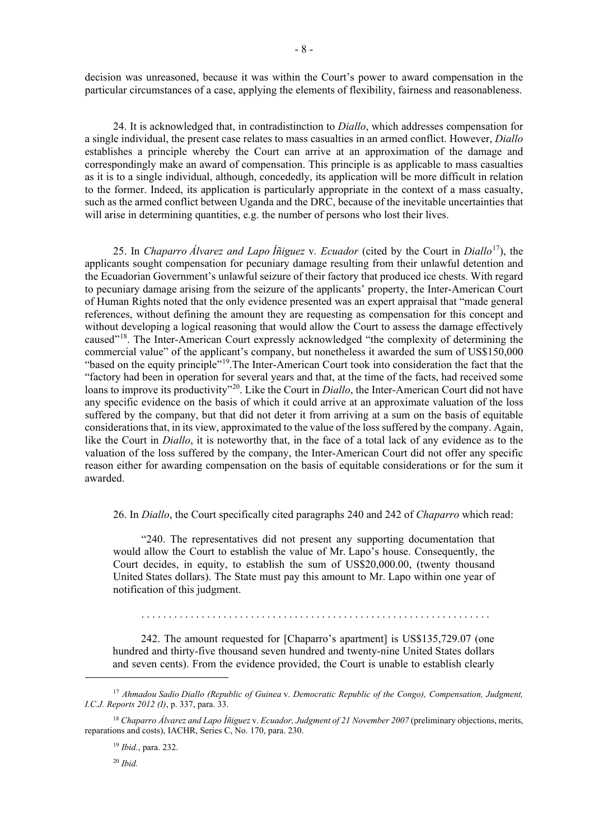decision was unreasoned, because it was within the Court's power to award compensation in the particular circumstances of a case, applying the elements of flexibility, fairness and reasonableness.

24. It is acknowledged that, in contradistinction to *Diallo*, which addresses compensation for a single individual, the present case relates to mass casualties in an armed conflict. However, *Diallo* establishes a principle whereby the Court can arrive at an approximation of the damage and correspondingly make an award of compensation. This principle is as applicable to mass casualties as it is to a single individual, although, concededly, its application will be more difficult in relation to the former. Indeed, its application is particularly appropriate in the context of a mass casualty, such as the armed conflict between Uganda and the DRC, because of the inevitable uncertainties that will arise in determining quantities, e.g. the number of persons who lost their lives.

25. In *Chaparro Álvarez and Lapo Íñiguez* v*. Ecuador* (cited by the Court in *Diallo*[17\)](#page-7-0), the applicants sought compensation for pecuniary damage resulting from their unlawful detention and the Ecuadorian Government's unlawful seizure of their factory that produced ice chests. With regard to pecuniary damage arising from the seizure of the applicants' property, the Inter-American Court of Human Rights noted that the only evidence presented was an expert appraisal that "made general references, without defining the amount they are requesting as compensation for this concept and without developing a logical reasoning that would allow the Court to assess the damage effectively caused"[18](#page-7-1). The Inter-American Court expressly acknowledged "the complexity of determining the commercial value" of the applicant's company, but nonetheless it awarded the sum of US\$150,000 "based on the equity principle"<sup>[19](#page-7-2)</sup>. The Inter-American Court took into consideration the fact that the "factory had been in operation for several years and that, at the time of the facts, had received some loans to improve its productivity<sup>"[20](#page-7-3)</sup>. Like the Court in *Diallo*, the Inter-American Court did not have any specific evidence on the basis of which it could arrive at an approximate valuation of the loss suffered by the company, but that did not deter it from arriving at a sum on the basis of equitable considerations that, in its view, approximated to the value of the loss suffered by the company. Again, like the Court in *Diallo*, it is noteworthy that, in the face of a total lack of any evidence as to the valuation of the loss suffered by the company, the Inter-American Court did not offer any specific reason either for awarding compensation on the basis of equitable considerations or for the sum it awarded.

26. In *Diallo*, the Court specifically cited paragraphs 240 and 242 of *Chaparro* which read:

"240. The representatives did not present any supporting documentation that would allow the Court to establish the value of Mr. Lapo's house. Consequently, the Court decides, in equity, to establish the sum of US\$20,000.00, (twenty thousand United States dollars). The State must pay this amount to Mr. Lapo within one year of notification of this judgment.

. . . . . . . . . . . . . . . . . . . . . . . . . . . . . . . . . . . . . . . . . . . . . . . . . . . . . . . . . . . . . . . .

242. The amount requested for [Chaparro's apartment] is US\$135,729.07 (one hundred and thirty-five thousand seven hundred and twenty-nine United States dollars and seven cents). From the evidence provided, the Court is unable to establish clearly

<sup>20</sup> *Ibid.*

<span id="page-7-0"></span><sup>17</sup> *Ahmadou Sadio Diallo (Republic of Guinea* v. *Democratic Republic of the Congo), Compensation, Judgment, I.C.J. Reports 2012 (I)*, p. 337, para. 33.

<span id="page-7-3"></span><span id="page-7-2"></span><span id="page-7-1"></span><sup>18</sup> *Chaparro Álvarez and Lapo Íñiguez* v. *Ecuador, Judgment of 21 November 2007* (preliminary objections, merits, reparations and costs), IACHR, Series C, No. 170, para. 230.

<sup>19</sup> *Ibid.*, para. 232.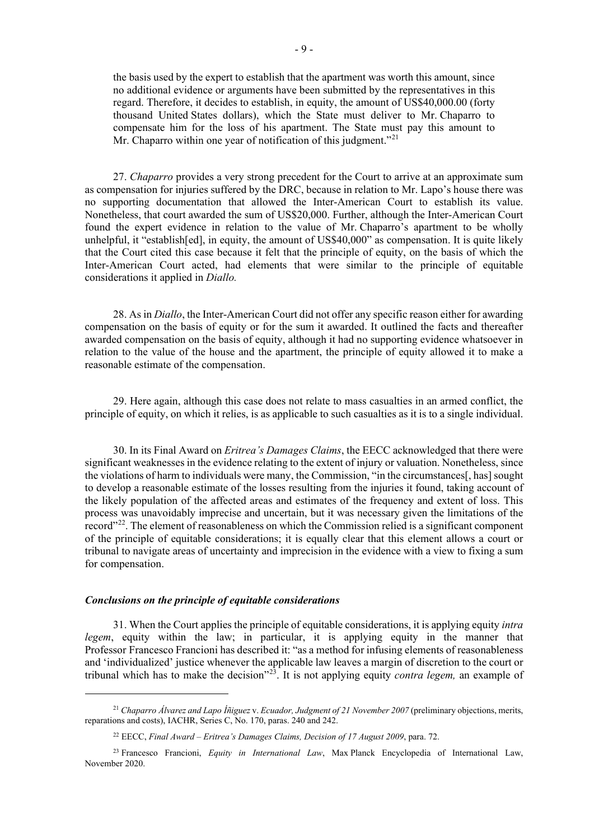the basis used by the expert to establish that the apartment was worth this amount, since no additional evidence or arguments have been submitted by the representatives in this regard. Therefore, it decides to establish, in equity, the amount of US\$40,000.00 (forty thousand United States dollars), which the State must deliver to Mr. Chaparro to compensate him for the loss of his apartment. The State must pay this amount to Mr. Chaparro within one year of notification of this judgment."<sup>[21](#page-8-0)</sup>

27. *Chaparro* provides a very strong precedent for the Court to arrive at an approximate sum as compensation for injuries suffered by the DRC, because in relation to Mr. Lapo's house there was no supporting documentation that allowed the Inter-American Court to establish its value. Nonetheless, that court awarded the sum of US\$20,000. Further, although the Inter-American Court found the expert evidence in relation to the value of Mr. Chaparro's apartment to be wholly unhelpful, it "establish[ed], in equity, the amount of US\$40,000" as compensation. It is quite likely that the Court cited this case because it felt that the principle of equity, on the basis of which the Inter-American Court acted, had elements that were similar to the principle of equitable considerations it applied in *Diallo.*

28. As in *Diallo*, the Inter-American Court did not offer any specific reason either for awarding compensation on the basis of equity or for the sum it awarded. It outlined the facts and thereafter awarded compensation on the basis of equity, although it had no supporting evidence whatsoever in relation to the value of the house and the apartment, the principle of equity allowed it to make a reasonable estimate of the compensation.

29. Here again, although this case does not relate to mass casualties in an armed conflict, the principle of equity, on which it relies, is as applicable to such casualties as it is to a single individual.

30. In its Final Award on *Eritrea's Damages Claims*, the EECC acknowledged that there were significant weaknesses in the evidence relating to the extent of injury or valuation. Nonetheless, since the violations of harm to individuals were many, the Commission, "in the circumstances[, has] sought to develop a reasonable estimate of the losses resulting from the injuries it found, taking account of the likely population of the affected areas and estimates of the frequency and extent of loss. This process was unavoidably imprecise and uncertain, but it was necessary given the limitations of the record"<sup>22</sup>. The element of reasonableness on which the Commission relied is a significant component of the principle of equitable considerations; it is equally clear that this element allows a court or tribunal to navigate areas of uncertainty and imprecision in the evidence with a view to fixing a sum for compensation.

#### *Conclusions on the principle of equitable considerations*

31. When the Court applies the principle of equitable considerations, it is applying equity *intra legem*, equity within the law; in particular, it is applying equity in the manner that Professor Francesco Francioni has described it: "as a method for infusing elements of reasonableness and 'individualized' justice whenever the applicable law leaves a margin of discretion to the court or tribunal which has to make the decision"[23](#page-8-2). It is not applying equity *contra legem,* an example of

<span id="page-8-0"></span><sup>21</sup> *Chaparro Álvarez and Lapo Íñiguez* v. *Ecuador, Judgment of 21 November 2007* (preliminary objections, merits, reparations and costs), IACHR, Series C, No. 170, paras. 240 and 242.

<sup>22</sup> EECC, *Final Award – Eritrea's Damages Claims, Decision of 17 August 2009*, para. 72.

<span id="page-8-2"></span><span id="page-8-1"></span><sup>23</sup> Francesco Francioni, *Equity in International Law*, Max Planck Encyclopedia of International Law, November 2020.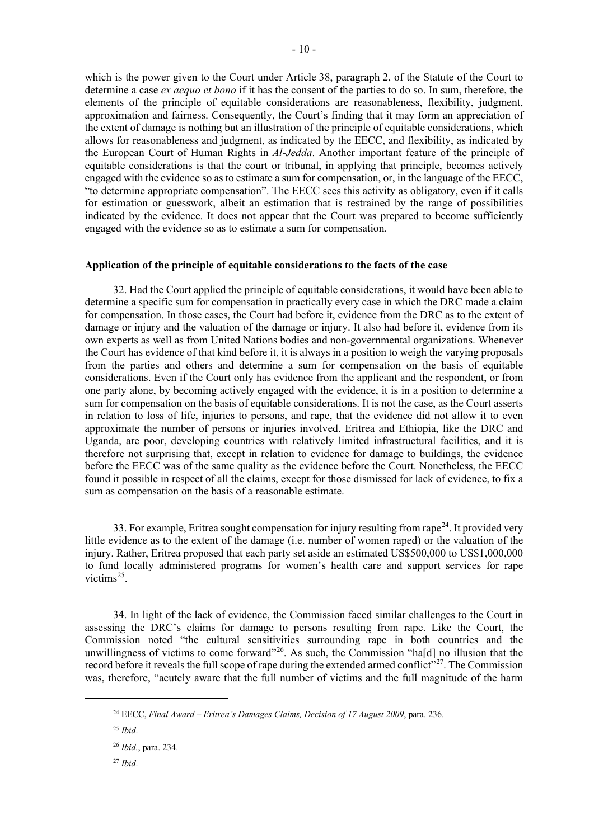which is the power given to the Court under Article 38, paragraph 2, of the Statute of the Court to determine a case *ex aequo et bono* if it has the consent of the parties to do so. In sum, therefore, the elements of the principle of equitable considerations are reasonableness, flexibility, judgment, approximation and fairness. Consequently, the Court's finding that it may form an appreciation of the extent of damage is nothing but an illustration of the principle of equitable considerations, which allows for reasonableness and judgment, as indicated by the EECC, and flexibility, as indicated by the European Court of Human Rights in *Al-Jedda*. Another important feature of the principle of equitable considerations is that the court or tribunal, in applying that principle, becomes actively engaged with the evidence so as to estimate a sum for compensation, or, in the language of the EECC, "to determine appropriate compensation". The EECC sees this activity as obligatory, even if it calls for estimation or guesswork, albeit an estimation that is restrained by the range of possibilities indicated by the evidence. It does not appear that the Court was prepared to become sufficiently engaged with the evidence so as to estimate a sum for compensation.

### **Application of the principle of equitable considerations to the facts of the case**

32. Had the Court applied the principle of equitable considerations, it would have been able to determine a specific sum for compensation in practically every case in which the DRC made a claim for compensation. In those cases, the Court had before it, evidence from the DRC as to the extent of damage or injury and the valuation of the damage or injury. It also had before it, evidence from its own experts as well as from United Nations bodies and non-governmental organizations. Whenever the Court has evidence of that kind before it, it is always in a position to weigh the varying proposals from the parties and others and determine a sum for compensation on the basis of equitable considerations. Even if the Court only has evidence from the applicant and the respondent, or from one party alone, by becoming actively engaged with the evidence, it is in a position to determine a sum for compensation on the basis of equitable considerations. It is not the case, as the Court asserts in relation to loss of life, injuries to persons, and rape, that the evidence did not allow it to even approximate the number of persons or injuries involved. Eritrea and Ethiopia, like the DRC and Uganda, are poor, developing countries with relatively limited infrastructural facilities, and it is therefore not surprising that, except in relation to evidence for damage to buildings, the evidence before the EECC was of the same quality as the evidence before the Court. Nonetheless, the EECC found it possible in respect of all the claims, except for those dismissed for lack of evidence, to fix a sum as compensation on the basis of a reasonable estimate.

33. For example, Eritrea sought compensation for injury resulting from rape<sup>[24](#page-9-0)</sup>. It provided very little evidence as to the extent of the damage (i.e. number of women raped) or the valuation of the injury. Rather, Eritrea proposed that each party set aside an estimated US\$500,000 to US\$1,000,000 to fund locally administered programs for women's health care and support services for rape victims<sup>[25](#page-9-1)</sup>.

34. In light of the lack of evidence, the Commission faced similar challenges to the Court in assessing the DRC's claims for damage to persons resulting from rape. Like the Court, the Commission noted "the cultural sensitivities surrounding rape in both countries and the unwillingness of victims to come forward<sup>326</sup>. As such, the Commission "ha[d] no illusion that the record before it reveals the full scope of rape during the extended armed conflict<sup>527</sup>. The Commission was, therefore, "acutely aware that the full number of victims and the full magnitude of the harm

<span id="page-9-1"></span><span id="page-9-0"></span><sup>24</sup> EECC, *Final Award – Eritrea's Damages Claims, Decision of 17 August 2009*, para. 236.

<sup>25</sup> *Ibid*.

<span id="page-9-2"></span><sup>26</sup> *Ibid.*, para. 234.

<span id="page-9-3"></span><sup>27</sup> *Ibid*.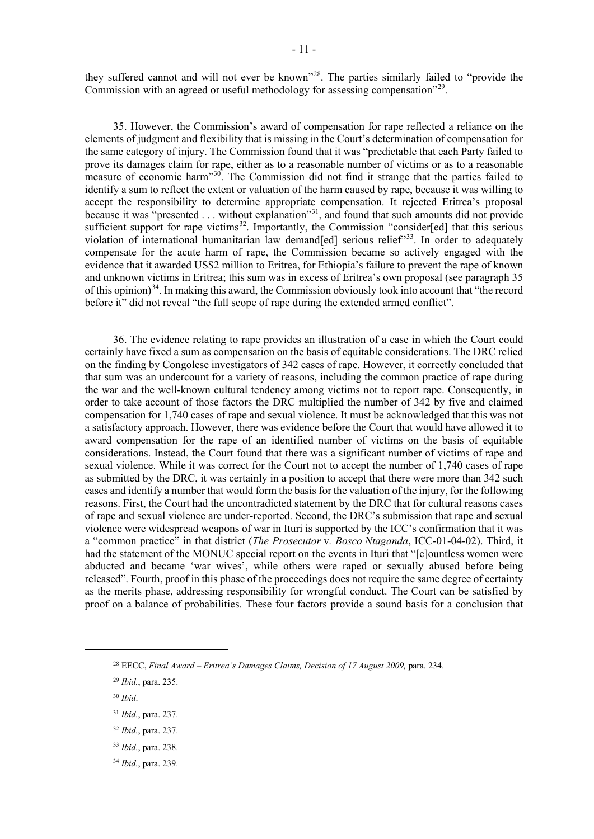they suffered cannot and will not ever be known"<sup>28</sup>. The parties similarly failed to "provide the Commission with an agreed or useful methodology for assessing compensation"<sup>[29](#page-10-1)</sup>.

35. However, the Commission's award of compensation for rape reflected a reliance on the elements of judgment and flexibility that is missing in the Court's determination of compensation for the same category of injury. The Commission found that it was "predictable that each Party failed to prove its damages claim for rape, either as to a reasonable number of victims or as to a reasonable measure of economic harm<sup>3[30](#page-10-2)</sup>. The Commission did not find it strange that the parties failed to identify a sum to reflect the extent or valuation of the harm caused by rape, because it was willing to accept the responsibility to determine appropriate compensation. It rejected Eritrea's proposal because it was "presented . . . without explanation"<sup>31</sup>, and found that such amounts did not provide sufficient support for rape victims<sup>[32](#page-10-4)</sup>. Importantly, the Commission "consider[ed] that this serious violation of international humanitarian law demand[ed] serious relief<sup>333</sup>. In order to adequately compensate for the acute harm of rape, the Commission became so actively engaged with the evidence that it awarded US\$2 million to Eritrea, for Ethiopia's failure to prevent the rape of known and unknown victims in Eritrea; this sum was in excess of Eritrea's own proposal (see paragraph 35 of this opinion)<sup>[34](#page-10-6)</sup>. In making this award, the Commission obviously took into account that "the record" before it" did not reveal "the full scope of rape during the extended armed conflict".

36. The evidence relating to rape provides an illustration of a case in which the Court could certainly have fixed a sum as compensation on the basis of equitable considerations. The DRC relied on the finding by Congolese investigators of 342 cases of rape. However, it correctly concluded that that sum was an undercount for a variety of reasons, including the common practice of rape during the war and the well-known cultural tendency among victims not to report rape. Consequently, in order to take account of those factors the DRC multiplied the number of 342 by five and claimed compensation for 1,740 cases of rape and sexual violence. It must be acknowledged that this was not a satisfactory approach. However, there was evidence before the Court that would have allowed it to award compensation for the rape of an identified number of victims on the basis of equitable considerations. Instead, the Court found that there was a significant number of victims of rape and sexual violence. While it was correct for the Court not to accept the number of 1,740 cases of rape as submitted by the DRC, it was certainly in a position to accept that there were more than 342 such cases and identify a number that would form the basis for the valuation of the injury, for the following reasons. First, the Court had the uncontradicted statement by the DRC that for cultural reasons cases of rape and sexual violence are under-reported. Second, the DRC's submission that rape and sexual violence were widespread weapons of war in Ituri is supported by the ICC's confirmation that it was a "common practice" in that district (*The Prosecutor* v*. Bosco Ntaganda*, ICC-01-04-02). Third, it had the statement of the MONUC special report on the events in Ituri that "[c]ountless women were abducted and became 'war wives', while others were raped or sexually abused before being released". Fourth, proof in this phase of the proceedings does not require the same degree of certainty as the merits phase, addressing responsibility for wrongful conduct. The Court can be satisfied by proof on a balance of probabilities. These four factors provide a sound basis for a conclusion that

<span id="page-10-6"></span><sup>34</sup> *Ibid.*, para. 239.

<span id="page-10-0"></span><sup>28</sup> EECC, *Final Award – Eritrea's Damages Claims, Decision of 17 August 2009,* para. 234.

<span id="page-10-1"></span><sup>29</sup> *Ibid.*, para. 235.

<span id="page-10-2"></span><sup>30</sup> *Ibid*.

<span id="page-10-3"></span><sup>31</sup> *Ibid.*, para. 237.

<span id="page-10-4"></span><sup>32</sup> *Ibid.*, para. 237.

<span id="page-10-5"></span><sup>33</sup> *Ibid.*, para. 238.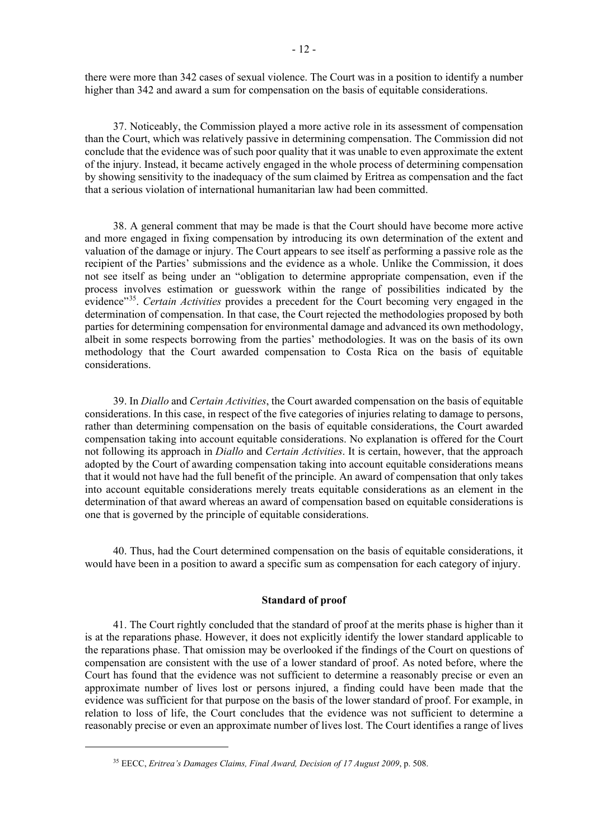there were more than 342 cases of sexual violence. The Court was in a position to identify a number higher than 342 and award a sum for compensation on the basis of equitable considerations.

37. Noticeably, the Commission played a more active role in its assessment of compensation than the Court, which was relatively passive in determining compensation. The Commission did not conclude that the evidence was of such poor quality that it was unable to even approximate the extent of the injury. Instead, it became actively engaged in the whole process of determining compensation by showing sensitivity to the inadequacy of the sum claimed by Eritrea as compensation and the fact that a serious violation of international humanitarian law had been committed.

38. A general comment that may be made is that the Court should have become more active and more engaged in fixing compensation by introducing its own determination of the extent and valuation of the damage or injury. The Court appears to see itself as performing a passive role as the recipient of the Parties' submissions and the evidence as a whole. Unlike the Commission, it does not see itself as being under an "obligation to determine appropriate compensation, even if the process involves estimation or guesswork within the range of possibilities indicated by the evidence"[35.](#page-11-0) *Certain Activities* provides a precedent for the Court becoming very engaged in the determination of compensation. In that case, the Court rejected the methodologies proposed by both parties for determining compensation for environmental damage and advanced its own methodology, albeit in some respects borrowing from the parties' methodologies. It was on the basis of its own methodology that the Court awarded compensation to Costa Rica on the basis of equitable considerations.

39. In *Diallo* and *Certain Activities*, the Court awarded compensation on the basis of equitable considerations. In this case, in respect of the five categories of injuries relating to damage to persons, rather than determining compensation on the basis of equitable considerations, the Court awarded compensation taking into account equitable considerations. No explanation is offered for the Court not following its approach in *Diallo* and *Certain Activities*. It is certain, however, that the approach adopted by the Court of awarding compensation taking into account equitable considerations means that it would not have had the full benefit of the principle. An award of compensation that only takes into account equitable considerations merely treats equitable considerations as an element in the determination of that award whereas an award of compensation based on equitable considerations is one that is governed by the principle of equitable considerations.

40. Thus, had the Court determined compensation on the basis of equitable considerations, it would have been in a position to award a specific sum as compensation for each category of injury.

## **Standard of proof**

41. The Court rightly concluded that the standard of proof at the merits phase is higher than it is at the reparations phase. However, it does not explicitly identify the lower standard applicable to the reparations phase. That omission may be overlooked if the findings of the Court on questions of compensation are consistent with the use of a lower standard of proof. As noted before, where the Court has found that the evidence was not sufficient to determine a reasonably precise or even an approximate number of lives lost or persons injured, a finding could have been made that the evidence was sufficient for that purpose on the basis of the lower standard of proof. For example, in relation to loss of life, the Court concludes that the evidence was not sufficient to determine a reasonably precise or even an approximate number of lives lost. The Court identifies a range of lives

<span id="page-11-0"></span><sup>35</sup> EECC, *Eritrea's Damages Claims, Final Award, Decision of 17 August 2009*, p. 508.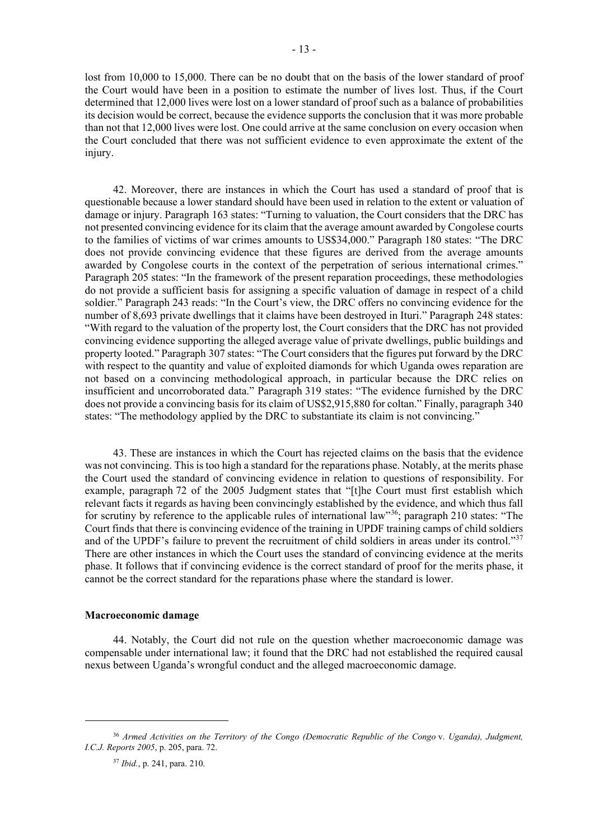lost from 10,000 to 15,000. There can be no doubt that on the basis of the lower standard of proof the Court would have been in a position to estimate the number of lives lost. Thus, if the Court determined that 12,000 lives were lost on a lower standard of proof such as a balance of probabilities its decision would be correct, because the evidence supports the conclusion that it was more probable than not that 12,000 lives were lost. One could arrive at the same conclusion on every occasion when the Court concluded that there was not sufficient evidence to even approximate the extent of the injury.

42. Moreover, there are instances in which the Court has used a standard of proof that is questionable because a lower standard should have been used in relation to the extent or valuation of damage or injury. Paragraph 163 states: "Turning to valuation, the Court considers that the DRC has not presented convincing evidence for its claim that the average amount awarded by Congolese courts to the families of victims of war crimes amounts to US\$34,000." Paragraph 180 states: "The DRC does not provide convincing evidence that these figures are derived from the average amounts awarded by Congolese courts in the context of the perpetration of serious international crimes." Paragraph 205 states: "In the framework of the present reparation proceedings, these methodologies do not provide a sufficient basis for assigning a specific valuation of damage in respect of a child soldier." Paragraph 243 reads: "In the Court's view, the DRC offers no convincing evidence for the number of 8,693 private dwellings that it claims have been destroyed in Ituri." Paragraph 248 states: "With regard to the valuation of the property lost, the Court considers that the DRC has not provided convincing evidence supporting the alleged average value of private dwellings, public buildings and property looted." Paragraph 307 states: "The Court considers that the figures put forward by the DRC with respect to the quantity and value of exploited diamonds for which Uganda owes reparation are not based on a convincing methodological approach, in particular because the DRC relies on insufficient and uncorroborated data." Paragraph 319 states: "The evidence furnished by the DRC does not provide a convincing basis for its claim of US\$2,915,880 for coltan." Finally, paragraph 340 states: "The methodology applied by the DRC to substantiate its claim is not convincing."

43. These are instances in which the Court has rejected claims on the basis that the evidence was not convincing. This is too high a standard for the reparations phase. Notably, at the merits phase the Court used the standard of convincing evidence in relation to questions of responsibility. For example, paragraph 72 of the 2005 Judgment states that "[t]he Court must first establish which relevant facts it regards as having been convincingly established by the evidence, and which thus fall for scrutiny by reference to the applicable rules of international law"<sup>[36](#page-12-0)</sup>; paragraph 210 states: "The Court finds that there is convincing evidence of the training in UPDF training camps of child soldiers and of the UPDF's failure to prevent the recruitment of child soldiers in areas under its control."[37](#page-12-1) There are other instances in which the Court uses the standard of convincing evidence at the merits phase. It follows that if convincing evidence is the correct standard of proof for the merits phase, it cannot be the correct standard for the reparations phase where the standard is lower.

# **Macroeconomic damage**

44. Notably, the Court did not rule on the question whether macroeconomic damage was compensable under international law; it found that the DRC had not established the required causal nexus between Uganda's wrongful conduct and the alleged macroeconomic damage.

<span id="page-12-1"></span><span id="page-12-0"></span><sup>36</sup> *Armed Activities on the Territory of the Congo (Democratic Republic of the Congo* v. *Uganda), Judgment, I.C.J. Reports 2005*, p. 205, para. 72.